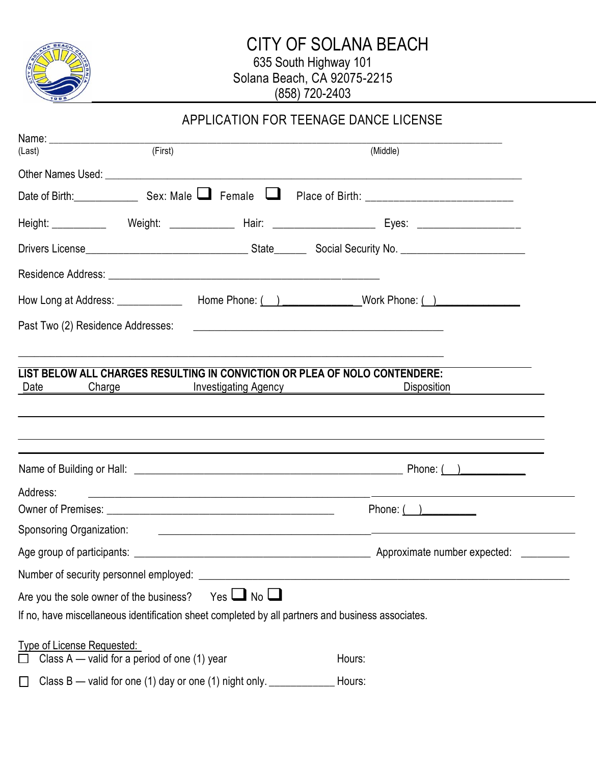

# CITY OF SOLANA BEACH 635 South Highway 101 Solana Beach, CA 92075-2215 (858) 720-2403

## APPLICATION FOR TEENAGE DANCE LICENSE

| (Last)                            | (First)                                                   |                      | (Middle)                                                                                                       |
|-----------------------------------|-----------------------------------------------------------|----------------------|----------------------------------------------------------------------------------------------------------------|
|                                   |                                                           |                      |                                                                                                                |
|                                   |                                                           |                      |                                                                                                                |
|                                   |                                                           |                      | Height: ____________  Weight: ___________________Hair: __________________________ Eyes: ______________________ |
|                                   |                                                           |                      |                                                                                                                |
|                                   |                                                           |                      |                                                                                                                |
|                                   |                                                           |                      |                                                                                                                |
|                                   |                                                           |                      | Past Two (2) Residence Addresses: 2008. 2009. 2009. 2009. 2009. 2010. 2010. 2010. 2010. 2010. 2010. 2010. 2010 |
|                                   |                                                           |                      |                                                                                                                |
|                                   |                                                           |                      | ,我们也不会有什么。""我们的人,我们也不会有什么?""我们的人,我们也不会有什么?""我们的人,我们也不会有什么?""我们的人,我们也不会有什么?""我们的人                               |
| Address:                          |                                                           |                      |                                                                                                                |
|                                   |                                                           |                      | <u> 1989 - Andrea Stadt Britain, amerikansk politik (* 1958)</u><br>Phone: $($ $)$                             |
|                                   |                                                           |                      |                                                                                                                |
|                                   |                                                           |                      |                                                                                                                |
|                                   | Number of security personnel employed:                    |                      |                                                                                                                |
|                                   | Are you the sole owner of the business?                   | Yes $\Box$ No $\Box$ |                                                                                                                |
|                                   |                                                           |                      | If no, have miscellaneous identification sheet completed by all partners and business associates.              |
| <b>Type of License Requested:</b> |                                                           |                      |                                                                                                                |
|                                   | Class $A$ — valid for a period of one (1) year            |                      | Hours:                                                                                                         |
|                                   | Class B - valid for one (1) day or one (1) night only. __ |                      | Hours:                                                                                                         |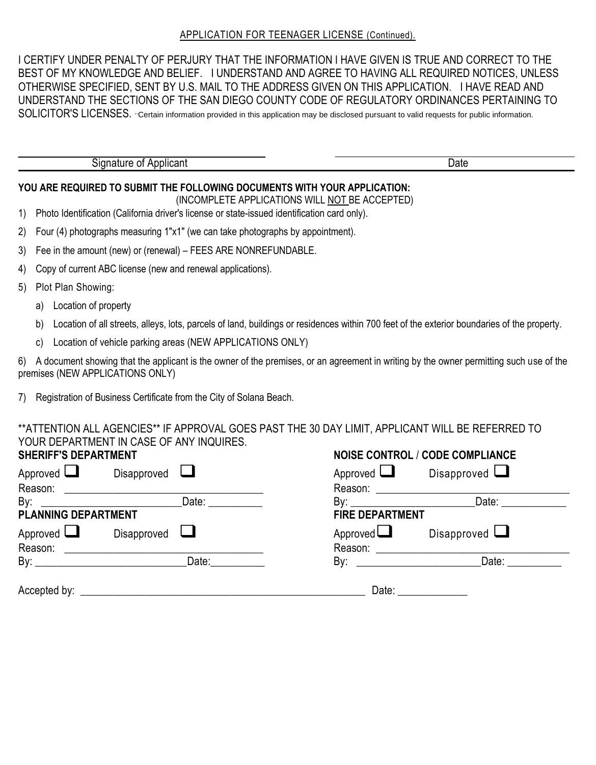#### APPLICATION FOR TEENAGER LICENSE (Continued).

I CERTIFY UNDER PENALTY OF PERJURY THAT THE INFORMATION I HAVE GIVEN IS TRUE AND CORRECT TO THE BEST OF MY KNOWLEDGE AND BELIEF. I UNDERSTAND AND AGREE TO HAVING ALL REQUIRED NOTICES, UNLESS OTHERWISE SPECIFIED, SENT BY U.S. MAIL TO THE ADDRESS GIVEN ON THIS APPLICATION. I HAVE READ AND UNDERSTAND THE SECTIONS OF THE SAN DIEGO COUNTY CODE OF REGULATORY ORDINANCES PERTAINING TO SOLICITOR'S LICENSES. "Certain information provided in this application may be disclosed pursuant to valid requests for public information.

Signature of Applicant Date

#### **YOU ARE REQUIRED TO SUBMIT THE FOLLOWING DOCUMENTS WITH YOUR APPLICATION:**

(INCOMPLETE APPLICATIONS WILL NOT BE ACCEPTED)

- 1) Photo Identification (California driver's license or state-issued identification card only).
- 2) Four (4) photographs measuring 1"x1" (we can take photographs by appointment).
- 3) Fee in the amount (new) or (renewal) FEES ARE NONREFUNDABLE.
- 4) Copy of current ABC license (new and renewal applications).
- 5) Plot Plan Showing:
	- a) Location of property
	- b) Location of all streets, alleys, lots, parcels of land, buildings or residences within 700 feet of the exterior boundaries of the property.
	- c) Location of vehicle parking areas (NEW APPLICATIONS ONLY)

6) A document showing that the applicant is the owner of the premises, or an agreement in writing by the owner permitting such use of the premises (NEW APPLICATIONS ONLY)

7) Registration of Business Certificate from the City of Solana Beach.

#### \*\*ATTENTION ALL AGENCIES\*\* IF APPROVAL GOES PAST THE 30 DAY LIMIT, APPLICANT WILL BE REFERRED TO YOUR DEPARTMENT IN CASE OF ANY INQUIRES. **NOISE CONTROL** / **CODE COMPLIANCE**

| Approved <b>L</b>          | Disapproved | Approved L          |
|----------------------------|-------------|---------------------|
| Reason:                    |             | Reason:             |
| By:                        |             | $\mathsf{By:}$      |
| <b>PLANNING DEPARTMENT</b> |             | <b>FIRE DEPARTI</b> |
| Approved $\Box$            | Disapproved | Approved            |
| Reason:                    |             | Reason:             |
|                            | Date:       | $\mathsf{By:}$      |
| Accepted by:               |             | Date:               |

| Approved <b>L</b>      | Disapproved $\Box$                                     |
|------------------------|--------------------------------------------------------|
| Reason:                |                                                        |
|                        | Date: $\frac{1}{\sqrt{1-\frac{1}{2}}\cdot\frac{1}{2}}$ |
| <b>FIRE DEPARTMENT</b> |                                                        |
| Approved               | Disapproved $\Box$                                     |
| Reason: ________       |                                                        |
|                        | Date: $\qquad \qquad$                                  |
|                        |                                                        |
|                        |                                                        |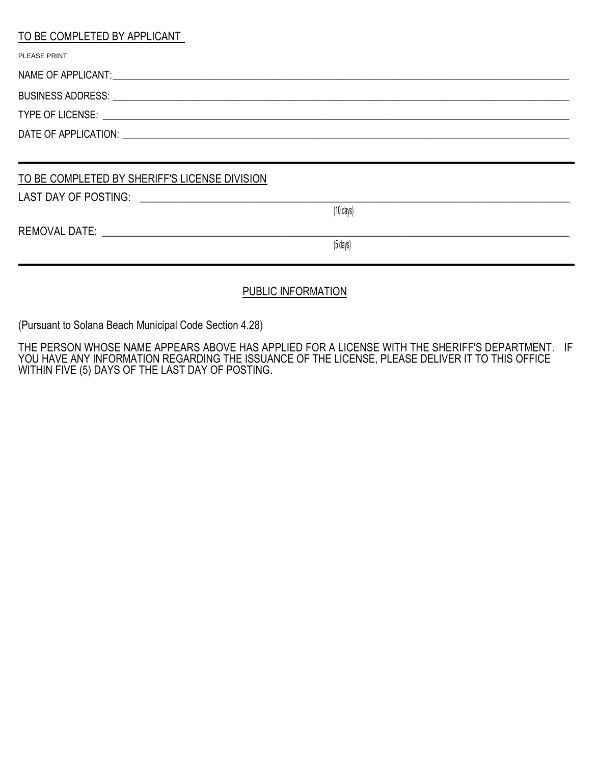| TO BE COMPLETED BY APPLICANT                  |                     |
|-----------------------------------------------|---------------------|
| PLEASE PRINT                                  |                     |
|                                               |                     |
|                                               |                     |
|                                               |                     |
|                                               |                     |
|                                               |                     |
| TO BE COMPLETED BY SHERIFF'S LICENSE DIVISION |                     |
|                                               |                     |
|                                               | $(10 \text{ days})$ |
|                                               |                     |
|                                               | (5 days)            |
|                                               |                     |

### PUBLIC INFORMATION

(Pursuant to Solana Beach Municipal Code Section 4.28)

THE PERSON WHOSE NAME APPEARS ABOVE HAS APPLIED FOR A LICENSE WITH THE SHERIFF'S DEPARTMENT. IF YOU HAVE ANY INFORMATION REGARDING THE ISSUANCE OF THE LICENSE, PLEASE DELIVER IT TO THIS OFFICE WITHIN FIVE (5) DAYS OF THE LAST DAY OF POSTING.